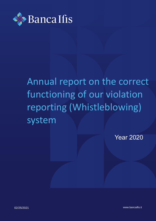

## Annual report on the correct functioning of our violation reporting (Whistleblowing) system

Year 2020

02/25/2021 www.bancaifis.it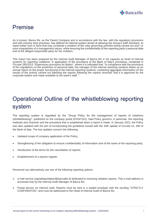

## Premise

As is known, Banca Ifis, as the Parent Company and in accordance with the law, with the regulatory provisions and with industry best practices, has defined its internal system aimed at allowing the Group's staff members, to report either acts or facts that may constitute a violation of the rules governing activities being carried out and / or even irregularities of a management nature, while ensuring the confidentiality of the reporting party's personal data and of the alleged responsible party for the violation.

This report has been prepared by the Internal Audit Manager of Banca Ifis in his capacity as head of internal systems for reporting violations, in application of the provisions of the Bank of Italy's provisions, contained in Circular 285/2013 "Supervisory provisions for Banks", where it is indicated that: "In compliance with the provisions of the regulations on the protection of personal data, the manager of the internal reporting systems draws up an annual report on the proper functioning of the internal reporting systems, containing aggregate information on the results of the activity carried out following the reports following the reports received, that it is approved by the corporate bodies and made available to the bank's staff. ".

## Operational Outline of the whistleblowing reporting system

The reporting system is regulated by the "Group Policy for the management of reports of violations (whistleblowing)", published on the company portal (IFIS4YOU). Said Policy governs, in particular, the reporting methods and channels and the procedure that is established when a report is made. In January 2021, the Policy was also updated with the aim of incorporating the guidelines issued with the 34th update of Circular no. 285 of the Bank of Italy. The key updates concern the following:

- Updated scope of company application of the Policy;
- Strengthening of the obligation to ensure confidentiality of information and of the name of the reporting party:
- Introduction of the terms for the cancellation of reports;
- Establishment of a reports register.

Personnel can alternatively use one of the following reporting options:

- 1. e-mail service (signalingviolation@bancaifis.it) dedicated to receiving violation reports. This e-mail address is accessed only by the Internal Audit Manager of Banca Ifis;
- 2. Postal service (or internal mail). Reports must be sent in a sealed envelope with the wording "STRICTLY CONFIDENTIAL" and must be addressed to the Head of Internal Audit of Banca Ifis;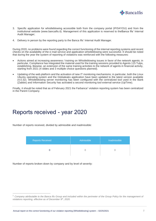

- 3. Specific application for whistleblowing accessible both from the company portal (IFIS4YOU) and from the institutional website (www.bancaifis.it). Management of this application is reserved to theBanca Ifis' Internal Audit Manager;
- 4. Delivery in person by the reporting party to the Banca Ifis' Internal Audit Manager.

During 2020, no problems were found regarding the correct functioning of the internal reporting systems and recent checks on the availability of the e-mail service and application whistleblowing were successful. It should be noted that during the year the system of reporting of violations was reinforced with the following measures:

- Actions aimed at increasing awareness / training on Whistleblowing issues in favor of the network agents; in particular, Compliance has integrated the material used for the training sessions provided to Agents 115 Tulps, establishing, likewise, an extension of the same training activities to the network of agents in financial activity, starting from 2021 (4 slides and 3 multiple choice questions planned).
- Updating of the web platform and the activation of new IT monitoring mechanisms; in particular, both the Linux Ubuntu operating system and the Globaleaks application have been updated to the latest version available (4.0.32). Whistleblowing server monitoring has been configured with the centralized tool used in the Bank (Zabbix) and Information Security has activated a second monitoring tool external service (UpTime).

Finally, it should be noted that as of February 2021 the Farbanca<sup>1</sup> violation reporting system has been centralized in the Parent Company.

## Reports received - year 2020

Number of reports received, divided by admissible and inadmissible:

| <b>Reports Received</b> | Admissible | Inadmissible |
|-------------------------|------------|--------------|
|                         |            |              |

Number of reports broken down by company and by level of severity:

<sup>1</sup> *Company attributable to the Banca Ifis Group and included within the perimeter of the Group Policy for the management of violations reporting, effective as of December 9<sup>th</sup>, 2020.*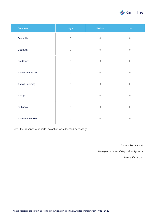

| Company             | <b>High</b>  | Medium      | Low          |
|---------------------|--------------|-------------|--------------|
| <b>Banca Ifis</b>   | $\mathbf 0$  | $\mathbf 0$ | $\mathsf{O}$ |
| Capitalfin          | $\mathbf 0$  | $\mathbf 0$ | $\mathsf{O}$ |
| Credifarma          | $\mathbf 0$  | $\mathbf 0$ | $\mathbf 0$  |
| Ifis Finance Sp Zoo | $\mathbf 0$  | $\mathbf 0$ | $\mathsf{O}$ |
| Ifis Npl Servicing  | $\mathbf 0$  | $\mathbf 0$ | $\mathsf{O}$ |
| Ifis Npl            | $\mathbf 0$  | $\mathbf 0$ | $\mathbf 0$  |
| Farbanca            | $\mathcal O$ | $\mathbf 0$ | $\mathsf{O}$ |
| Ifis Rental Service | $\mathbf 0$  | $\mathbf 0$ | $\mathsf{O}$ |

Given the absence of reports, no action was deemed necessary.

Angelo Ferracchiati

*Manager of Internal Reporting Systems*

Banca Ifis S.p.A.